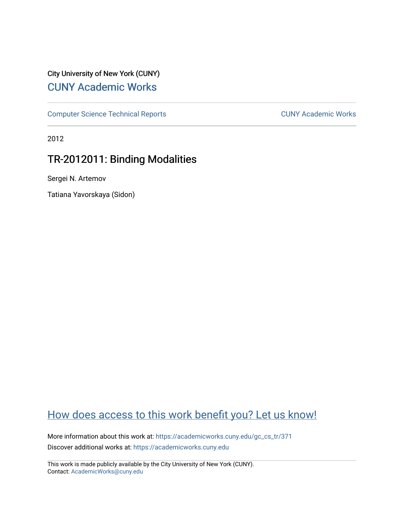# City University of New York (CUNY) [CUNY Academic Works](https://academicworks.cuny.edu/)

[Computer Science Technical Reports](https://academicworks.cuny.edu/gc_cs_tr) **CUNY Academic Works** CUNY Academic Works

2012

# TR-2012011: Binding Modalities

Sergei N. Artemov

Tatiana Yavorskaya (Sidon)

# [How does access to this work benefit you? Let us know!](http://ols.cuny.edu/academicworks/?ref=https://academicworks.cuny.edu/gc_cs_tr/371)

More information about this work at: [https://academicworks.cuny.edu/gc\\_cs\\_tr/371](https://academicworks.cuny.edu/gc_cs_tr/371)  Discover additional works at: [https://academicworks.cuny.edu](https://academicworks.cuny.edu/?)

This work is made publicly available by the City University of New York (CUNY). Contact: [AcademicWorks@cuny.edu](mailto:AcademicWorks@cuny.edu)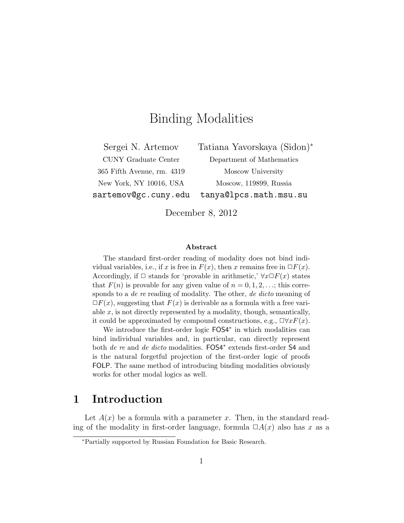# Binding Modalities

365 Fifth Avenue, rm. 4319 Moscow University

Sergei N. Artemov Tatiana Yavorskaya (Sidon)<sup>∗</sup> CUNY Graduate Center Department of Mathematics New York, NY 10016, USA Moscow, 119899, Russia sartemov@gc.cuny.edu tanya@lpcs.math.msu.su

December 8, 2012

#### Abstract

The standard first-order reading of modality does not bind individual variables, i.e., if x is free in  $F(x)$ , then x remains free in  $\Box F(x)$ . Accordingly, if  $\Box$  stands for 'provable in arithmetic,'  $\forall x \Box F(x)$  states that  $F(n)$  is provable for any given value of  $n = 0, 1, 2, \ldots$ ; this corresponds to a *de re* reading of modality. The other, *de dicto* meaning of  $\Box F(x)$ , suggesting that  $F(x)$  is derivable as a formula with a free variable  $x$ , is not directly represented by a modality, though, semantically, it could be approximated by compound constructions, e.g.,  $\Box \forall x F(x)$ .

We introduce the first-order logic FOS4<sup>∗</sup> in which modalities can bind individual variables and, in particular, can directly represent both de re and de dicto modalities. FOS4<sup>∗</sup> extends first-order S4 and is the natural forgetful projection of the first-order logic of proofs FOLP. The same method of introducing binding modalities obviously works for other modal logics as well.

## 1 Introduction

Let  $A(x)$  be a formula with a parameter x. Then, in the standard reading of the modality in first-order language, formula  $\Box A(x)$  also has x as a

<sup>∗</sup>Partially supported by Russian Foundation for Basic Research.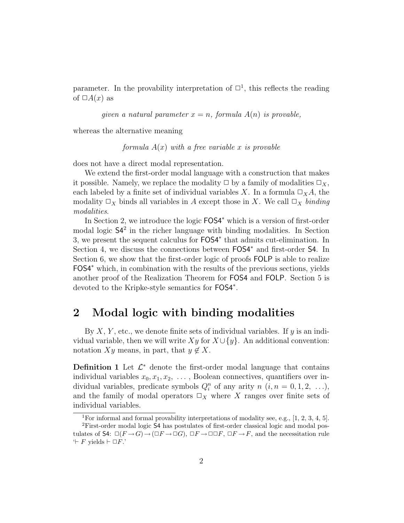parameter. In the provability interpretation of  $\Box^1$ , this reflects the reading of  $\Box A(x)$  as

given a natural parameter  $x = n$ , formula  $A(n)$  is provable,

whereas the alternative meaning

formula  $A(x)$  with a free variable x is provable

does not have a direct modal representation.

We extend the first-order modal language with a construction that makes it possible. Namely, we replace the modality  $\Box$  by a family of modalities  $\Box_X$ , each labeled by a finite set of individual variables X. In a formula  $\Box_X A$ , the modality  $\Box_X$  binds all variables in A except those in X. We call  $\Box_X$  binding modalities.

In Section 2, we introduce the logic FOS4<sup>∗</sup> which is a version of first-order modal logic  $\mathsf{S}4^2$  in the richer language with binding modalities. In Section 3, we present the sequent calculus for FOS4<sup>∗</sup> that admits cut-elimination. In Section 4, we discuss the connections between  $FOS4^*$  and first-order S4. In Section 6, we show that the first-order logic of proofs FOLP is able to realize FOS4<sup>∗</sup> which, in combination with the results of the previous sections, yields another proof of the Realization Theorem for FOS4 and FOLP. Section 5 is devoted to the Kripke-style semantics for FOS4<sup>∗</sup> .

## 2 Modal logic with binding modalities

By  $X, Y$ , etc., we denote finite sets of individual variables. If  $y$  is an individual variable, then we will write  $Xy$  for  $X \cup \{y\}$ . An additional convention: notation  $Xy$  means, in part, that  $y \notin X$ .

**Definition 1** Let  $\mathcal{L}^*$  denote the first-order modal language that contains individual variables  $x_0, x_1, x_2, \ldots$ , Boolean connectives, quantifiers over individual variables, predicate symbols  $Q_i^n$  of any arity  $n$   $(i, n = 0, 1, 2, \ldots),$ and the family of modal operators  $\Box_X$  where X ranges over finite sets of individual variables.

<sup>&</sup>lt;sup>1</sup>For informal and formal provability interpretations of modality see, e.g., [1, 2, 3, 4, 5]. <sup>2</sup>First-order modal logic S4 has postulates of first-order classical logic and modal postulates of  $S4: \Box(F \rightarrow G) \rightarrow (\Box F \rightarrow \Box G)$ ,  $\Box F \rightarrow \Box \Box F$ ,  $\Box F \rightarrow F$ , and the necessitation rule  $\vdash$  F yields  $\vdash \Box F$ .'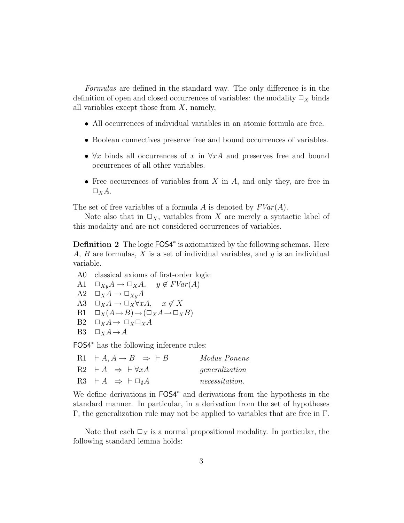Formulas are defined in the standard way. The only difference is in the definition of open and closed occurrences of variables: the modality  $\Box_X$  binds all variables except those from  $X$ , namely,

- All occurrences of individual variables in an atomic formula are free.
- Boolean connectives preserve free and bound occurrences of variables.
- $\forall x$  binds all occurrences of x in  $\forall x \, A$  and preserves free and bound occurrences of all other variables.
- Free occurrences of variables from  $X$  in  $A$ , and only they, are free in  $\Box_X A$ .

The set of free variables of a formula A is denoted by  $FVar(A)$ .

Note also that in  $\square_X$ , variables from X are merely a syntactic label of this modality and are not considered occurrences of variables.

Definition 2 The logic FOS4<sup>\*</sup> is axiomatized by the following schemas. Here A, B are formulas, X is a set of individual variables, and  $y$  is an individual variable.

- A0 classical axioms of first-order logic A1  $\Box_{Xy}A \rightarrow \Box_XA$ ,  $y \notin FVar(A)$ A2  $\square_X A \to \square_{Xy} A$ A3  $\Box_X A \to \Box_X \forall x A$ ,  $x \notin X$
- B1  $\square_X(A \rightarrow B) \rightarrow (\square_X A \rightarrow \square_X B)$
- B2  $\square_X A \rightarrow \square_X \square_X A$
- B3  $\square_X A \rightarrow A$

FOS4<sup>∗</sup> has the following inference rules:

| R1 $\vdash A, A \rightarrow B \Rightarrow \vdash B$ | Modus Ponens          |
|-----------------------------------------------------|-----------------------|
| $R2 \vdash A \Rightarrow \vdash \forall x A$        | generalization        |
| $R3 \vdash A \Rightarrow \vdash \Box_0 A$           | <i>necessitation.</i> |

We define derivations in FOS4<sup>∗</sup> and derivations from the hypothesis in the standard manner. In particular, in a derivation from the set of hypotheses Γ, the generalization rule may not be applied to variables that are free in Γ.

Note that each  $\Box_X$  is a normal propositional modality. In particular, the following standard lemma holds: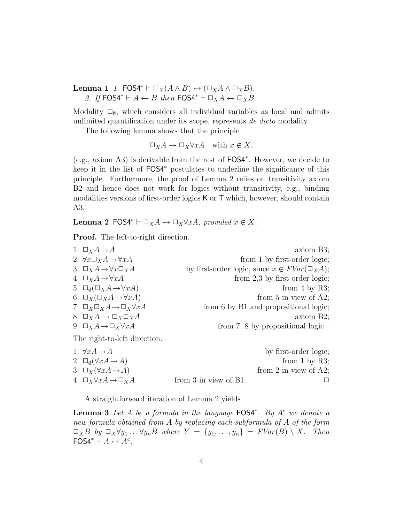Lemma 1 1. FOS4<sup>\*</sup>  $\vdash \Box_X(A \land B) \leftrightarrow (\Box_X A \land \Box_X B)$ . 2. If FOS4<sup>\*</sup>  $\vdash A \leftrightarrow B$  then FOS4<sup>\*</sup>  $\vdash \Box_X A \leftrightarrow \Box_X B$ .

Modality  $\square_{\emptyset}$ , which considers all individual variables as local and admits unlimited quantification under its scope, represents de dicto modality.

The following lemma shows that the principle

$$
\Box_X A \to \Box_X \forall x A \quad \text{with } x \notin X,
$$

(e.g., axiom A3) is derivable from the rest of FOS4<sup>∗</sup> . However, we decide to keep it in the list of  $FOS4^*$  postulates to underline the significance of this principle. Furthermore, the proof of Lemma 2 relies on transitivity axiom B2 and hence does not work for logics without transitivity, e.g., binding modalities versions of first-order logics K or T which, however, should contain A3.

Lemma 2 FOS4<sup>\*</sup>  $\vdash \Box_X A \leftrightarrow \Box_X \forall xA$ , provided  $x \notin X$ .

Proof. The left-to-right direction.

| 1. $\Box_X A \rightarrow A$                                   | $axiom B3$ ;                                              |
|---------------------------------------------------------------|-----------------------------------------------------------|
| 2. $\forall x \Box_X A \rightarrow \forall x A$               | from 1 by first-order logic;                              |
| 3. $\Box_X A \rightarrow \forall x \Box_X A$                  | by first-order logic, since $x \notin FVar(\square_X A);$ |
| 4. $\Box_X A \rightarrow \forall x A$                         | from $2,3$ by first-order logic;                          |
| 5. $\square_{\emptyset}(\square_X A \rightarrow \forall x A)$ | from 4 by R3;                                             |
| 6. $\Box_X(\Box_X A \rightarrow \forall x A)$                 | from 5 in view of A2;                                     |
| 7. $\Box_X \Box_X A \rightarrow \Box_X \forall x A$           | from 6 by B1 and propositional logic;                     |
| 8. $\Box_X A \rightarrow \Box_X \Box_X A$                     | axiom B2;                                                 |
| 9. $\Box_X A \rightarrow \Box_X \forall x A$                  | from 7, 8 by propositional logic.                         |
|                                                               |                                                           |

The right-to-left direction.

| 1. $\forall x A \rightarrow A$                   |                            | by first-order logic;    |
|--------------------------------------------------|----------------------------|--------------------------|
| 2. $\Box_{\emptyset}(\forall x A \rightarrow A)$ |                            | from 1 by R3;            |
| 3. $\Box_X(\forall x A \rightarrow A)$           |                            | from 2 in view of $A2$ ; |
| 4. $\Box_X \forall x A \rightarrow \Box_X A$     | from $3$ in view of $B1$ . |                          |

A straightforward iteration of Lemma 2 yields

**Lemma 3** Let A be a formula in the language  $FOS4^*$ . By A<sup>c</sup> we denote a new formula obtained from A by replacing each subformula of A of the form  $\Box_X B$  by  $\Box_X \forall y_1 \ldots \forall y_n B$  where  $Y = \{y_1, \ldots, y_n\} = FVar(B) \setminus X$ . Then  $\mathsf{FOS4}^* \vdash A \leftrightarrow A^c$ .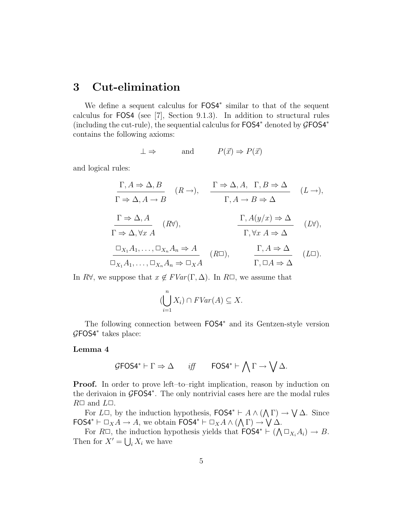# 3 Cut-elimination

We define a sequent calculus for  $FOS4*$  similar to that of the sequent calculus for FOS4 (see [7], Section 9.1.3). In addition to structural rules (including the cut-rule), the sequential calculus for FOS4<sup>∗</sup> denoted by GFOS4<sup>∗</sup> contains the following axioms:

$$
\perp \Rightarrow \qquad \text{and} \qquad P(\vec{x}) \Rightarrow P(\vec{x})
$$

and logical rules:

$$
\Gamma, A \Rightarrow \Delta, B
$$
\n
$$
\Gamma \Rightarrow \Delta, A \to B
$$
\n
$$
\Gamma \Rightarrow \Delta, A \to B
$$
\n
$$
\Gamma \Rightarrow \Delta, A \to B
$$
\n
$$
\Gamma \Rightarrow \Delta, A \to B
$$
\n
$$
\Gamma, A \to B \Rightarrow \Delta
$$
\n
$$
\Gamma \Rightarrow \Delta, \forall x A
$$
\n
$$
\Gamma \Rightarrow \Delta, \forall x A
$$
\n
$$
\Gamma, \forall x A \Rightarrow \Delta
$$
\n
$$
\Gamma, \forall x A \Rightarrow \Delta
$$
\n
$$
\Gamma, \forall x A \Rightarrow \Delta
$$
\n
$$
\Gamma, A \Rightarrow \Delta
$$
\n
$$
\Gamma, \forall x A \Rightarrow \Delta
$$
\n
$$
\Gamma, A \Rightarrow \Delta
$$
\n
$$
\Gamma, A \Rightarrow \Delta
$$
\n
$$
\Gamma, A \Rightarrow \Delta
$$
\n
$$
\Gamma, A \Rightarrow \Delta
$$
\n
$$
\Gamma, \Box A \Rightarrow \Delta
$$
\n
$$
\Gamma, \Box A \Rightarrow \Delta
$$
\n
$$
\Gamma, \Box A \Rightarrow \Delta
$$
\n
$$
\Gamma, \Box A \Rightarrow \Delta
$$

In R $\forall$ , we suppose that  $x \notin FVar(\Gamma, \Delta)$ . In R $\Box$ , we assume that

$$
(\bigcup_{i=1}^{n} X_{i}) \cap FVar(A) \subseteq X.
$$

The following connection between FOS4<sup>∗</sup> and its Gentzen-style version GFOS4<sup>∗</sup> takes place:

#### Lemma 4

$$
\mathcal{G} \text{FOS4}^* \vdash \Gamma \Rightarrow \Delta \qquad \text{iff} \qquad \text{FOS4}^* \vdash \bigwedge \Gamma \to \bigvee \Delta.
$$

**Proof.** In order to prove left–to–right implication, reason by induction on the derivaion in GFOS4<sup>\*</sup>. The only nontrivial cases here are the modal rules  $R\Box$  and  $L\Box$ .

For  $L\Box$ , by the induction hypothesis,  $FOS4^* \vdash A \wedge (\bigwedge \Gamma) \rightarrow \bigvee \Delta$ . Since FOS4<sup>\*</sup>  $\vdash \Box_X A \to A$ , we obtain FOS4<sup>\*</sup>  $\vdash \Box_X A \land (\bigwedge \Gamma) \to \bigvee \Delta$ .

For  $R\Box$ , the induction hypothesis yields that  $\text{FOS4}^* \vdash (\bigwedge \Box_{X_i} A_i) \to B$ . Then for  $X' = \bigcup_i X_i$  we have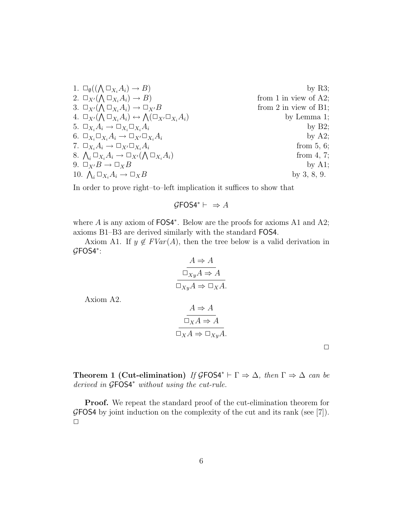1. 
$$
\Box_{\emptyset}((\bigwedge \Box_{X_i} A_i) \rightarrow B)
$$
 by R3;  
\n2.  $\Box_{X'}(\bigwedge \Box_{X_i} A_i) \rightarrow B)$  from 1 in view of A2;  
\n3.  $\Box_{X'}(\bigwedge \Box_{X_i} A_i) \rightarrow \Box_{X'}B$  from 2 in view of B1;  
\n4.  $\Box_{X'}(\bigwedge \Box_{X_i} A_i) \leftrightarrow \bigwedge(\Box_{X'} \Box_{X_i} A_i)$  by Lemma 1;  
\n5.  $\Box_{X_i} A_i \rightarrow \Box_{X_i} \Box_{X_i} A_i$  by B2;  
\n6.  $\Box_{X_i} \Box_{X_i} A_i \rightarrow \Box_{X'} \Box_{X_i} A_i$  by A2;  
\n7.  $\Box_{X_i} A_i \rightarrow \Box_{X'} \Box_{X_i} A_i$  from 5, 6;  
\n8.  $\bigwedge_i \Box_{X_i} A_i \rightarrow \Box_{X'}(\bigwedge \Box_{X_i} A_i)$  from 4, 7;  
\n9.  $\Box_{X'} B \rightarrow \Box_X B$  by A1;  
\n10.  $\bigwedge_i \Box_{X_i} A_i \rightarrow \Box_X B$  by 3, 8, 9.

In order to prove right–to–left implication it suffices to show that

$$
\mathcal{G} \textsf{FOS4}^* \vdash \ \Rightarrow A
$$

where A is any axiom of FOS4<sup>\*</sup>. Below are the proofs for axioms A1 and A2; axioms B1–B3 are derived similarly with the standard FOS4.

Axiom A1. If  $y \notin FVar(A)$ , then the tree below is a valid derivation in GFOS4<sup>∗</sup> :

$$
\frac{A \Rightarrow A}{\Box_{Xy} A \Rightarrow A}
$$

$$
\overline{\Box_{Xy} A \Rightarrow \Box_{X} A}.
$$

Axiom A2.

$$
A \Rightarrow A
$$
  

$$
\Box_X A \Rightarrow A
$$
  

$$
\Box_X A \Rightarrow \Box_{Xy} A.
$$

 $\Box$ 

Theorem 1 (Cut-elimination) If  $\mathcal{G}FOS4^* \vdash \Gamma \Rightarrow \Delta$ , then  $\Gamma \Rightarrow \Delta$  can be derived in GFOS4<sup>∗</sup> without using the cut-rule.

Proof. We repeat the standard proof of the cut-elimination theorem for  $G$ FOS4 by joint induction on the complexity of the cut and its rank (see [7]).  $\Box$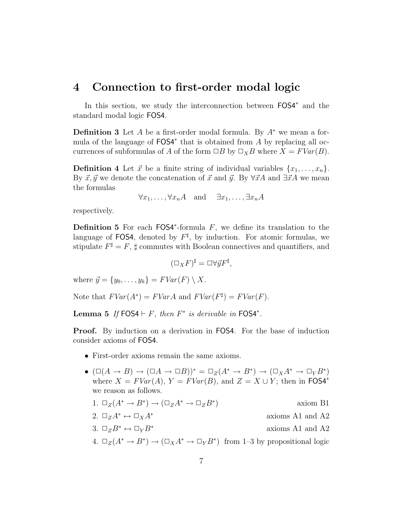### 4 Connection to first-order modal logic

In this section, we study the interconnection between FOS4<sup>∗</sup> and the standard modal logic FOS4.

**Definition 3** Let A be a first-order modal formula. By  $A^*$  we mean a formula of the language of FOS4<sup>\*</sup> that is obtained from A by replacing all occurrences of subformulas of A of the form  $\Box B$  by  $\Box_X B$  where  $X = FVar(B)$ .

**Definition 4** Let  $\vec{x}$  be a finite string of individual variables  $\{x_1, \ldots, x_n\}$ . By  $\vec{x}, \vec{y}$  we denote the concatenation of  $\vec{x}$  and  $\vec{y}$ . By  $\forall \vec{x}A$  and  $\exists \vec{x}A$  we mean the formulas

 $\forall x_1, \ldots, \forall x_n A$  and  $\exists x_1, \ldots, \exists x_n A$ 

respectively.

**Definition 5** For each  $FOS4^*$ -formula  $F$ , we define its translation to the language of FOS4, denoted by  $F^{\sharp}$ , by induction. For atomic formulas, we stipulate  $F^{\sharp} = F$ ,  $\sharp$  commutes with Boolean connectives and quantifiers, and

$$
(\Box_X F)^{\sharp} = \Box \forall \vec{y} F^{\sharp},
$$

where  $\vec{y} = \{y_0, \ldots, y_k\} = FVar(F) \setminus X$ .

Note that  $FVar(A^*) = FVarA$  and  $FVar(F^{\sharp}) = FVar(F)$ .

Lemma 5 If  $FOS4 \vdash F$ , then  $F^*$  is derivable in  $FOS4^*$ .

Proof. By induction on a derivation in FOS4. For the base of induction consider axioms of FOS4.

- First-order axioms remain the same axioms.
- $(\Box(A \to B) \to (\Box A \to \Box B))^* = \Box_Z(A^* \to B^*) \to (\Box_X A^* \to \Box_Y B^*)$ where  $X = FVar(A)$ ,  $Y = FVar(B)$ , and  $Z = X \cup Y$ ; then in FOS4<sup>\*</sup> we reason as follows.

1. 
$$
\Box_Z(A^* \to B^*) \to (\Box_Z A^* \to \Box_Z B^*)
$$
 axiom B1

- 2.  $\Box_Z A^* \leftrightarrow \Box_X A^*$  axioms A1 and A2
- 3.  $\square_Z B^* \leftrightarrow \square_Y B^*$  axioms A1 and A2
- 4.  $\Box_Z(A^* \to B^*) \to (\Box_X A^* \to \Box_Y B^*)$  from 1-3 by propositional logic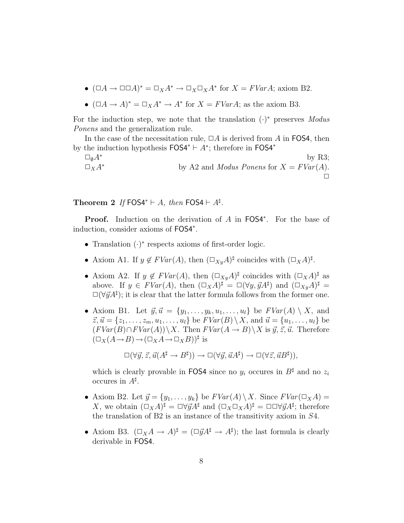- $(\Box A \to \Box \Box A)^* = \Box_X A^* \to \Box_X \Box_X A^*$  for  $X = FVar A$ ; axiom B2.
- $(\Box A \to A)^* = \Box_X A^* \to A^*$  for  $X = FVar A$ ; as the axiom B3.

For the induction step, we note that the translation  $(\cdot)^*$  preserves Modus Ponens and the generalization rule.

In the case of the necessitation rule,  $\Box A$  is derived from A in FOS4, then by the induction hypothesis  $FOS4^* \vdash A^*$ ; therefore in  $FOS4^*$ 

 $\Box_{\emptyset}A^*$  by R3;  $\Box_X A^*$  by A2 and *Modus Ponens* for  $X = FVar(A)$ . ✷

Theorem 2 If FOS4<sup>\*</sup>  $\vdash A$ , then FOS4  $\vdash A^{\sharp}$ .

Proof. Induction on the derivation of A in FOS4<sup>\*</sup>. For the base of induction, consider axioms of FOS4<sup>∗</sup> .

- Translation (·) ∗ respects axioms of first-order logic.
- Axiom A1. If  $y \notin FVar(A)$ , then  $(\Box_{xy}A)^{\sharp}$  coincides with  $(\Box_{X}A)^{\sharp}$ .
- Axiom A2. If  $y \notin FVar(A)$ , then  $(\Box_{X}A)^{\sharp}$  coincides with  $(\Box_{X}A)^{\sharp}$  as above. If  $y \in FVar(A)$ , then  $(\Box_X A)^{\sharp} = \Box(\forall y, \vec{y}A^{\sharp})$  and  $(\Box_{xy} A)^{\sharp} =$  $\square(\forall \vec{y}A^{\sharp})$ ; it is clear that the latter formula follows from the former one.
- Axiom B1. Let  $\vec{y}, \vec{u} = \{y_1, \ldots, y_k, u_1, \ldots, u_l\}$  be  $FVar(A) \setminus X$ , and  $\vec{z}, \vec{u} = \{z_1, \ldots, z_m, u_1, \ldots, u_l\}$  be  $FVar(B) \setminus X$ , and  $\vec{u} = \{u_1, \ldots, u_l\}$  be  $(FVar(B) \cap FVar(A))\ X$ . Then  $FVar(A \rightarrow B)\ X$  is  $\vec{y}, \vec{z}, \vec{u}$ . Therefore  $(\Box_X(A \rightarrow B) \rightarrow (\Box_X A \rightarrow \Box_X B))^{\sharp}$  is

$$
\Box(\forall \vec{y}, \vec{z}, \vec{u}(A^{\sharp} \to B^{\sharp})) \to \Box(\forall \vec{y}, \vec{u}A^{\sharp}) \to \Box(\forall \vec{z}, \vec{u}B^{\sharp})),
$$

which is clearly provable in FOS4 since no  $y_i$  occures in  $B^{\sharp}$  and no  $z_i$ occures in  $A^{\sharp}$ .

- Axiom B2. Let  $\vec{y} = \{y_1, \ldots, y_k\}$  be  $FVar(A) \setminus X$ . Since  $FVar(\square_X A) =$ X, we obtain  $(\Box_X A)^{\sharp} = \Box \forall \vec{y} A^{\sharp}$  and  $(\Box_X \Box_X A)^{\sharp} = \Box \Box \forall \vec{y} A^{\sharp}$ ; therefore the translation of B2 is an instance of the transitivity axiom in S4.
- Axiom B3.  $(\Box_X A \to A)^\sharp = (\Box \vec{y} A^\sharp \to A^\sharp)$ ; the last formula is clearly derivable in FOS4.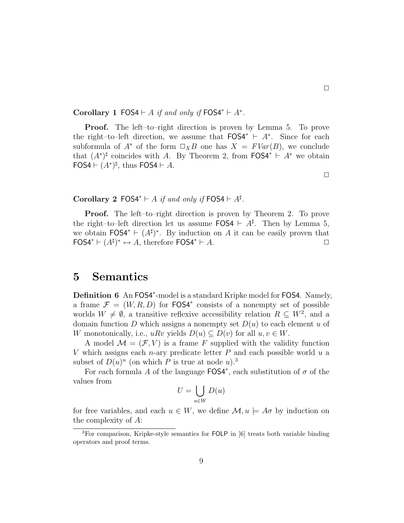Corollary 1 FOS4  $\vdash A$  if and only if FOS4<sup>\*</sup>  $\vdash A^*$ .

Proof. The left–to–right direction is proven by Lemma 5. To prove the right–to–left direction, we assume that  $FOS4^* \vdash A^*$ . Since for each subformula of  $A^*$  of the form  $\Box_X B$  one has  $X = FVar(B)$ , we conclude that  $(A^*)^{\sharp}$  coincides with A. By Theorem 2, from FOS4<sup>\*</sup>  $\vdash A^*$  we obtain FOS4  $\vdash (A^*)^{\sharp}$ , thus FOS4  $\vdash A$ .

Corollary 2 FOS4<sup>\*</sup>  $\vdash A$  if and only if FOS4  $\vdash A^{\sharp}$ .

**Proof.** The left–to–right direction is proven by Theorem 2. To prove the right–to–left direction let us assume  $FOS4 \vdash A^{\sharp}$ . Then by Lemma 5, we obtain  $FOS4^* \vdash (A^{\sharp})^*$ . By induction on A it can be easily proven that  $\textsf{FOS4}^* \vdash (A^{\sharp})^* \leftrightarrow A$ , therefore  $\textsf{FOS4}^* \vdash A$ .

### 5 Semantics

Definition 6 An FOS4<sup>\*</sup>-model is a standard Kripke model for FOS4. Namely, a frame  $\mathcal{F} = (W, R, D)$  for FOS4<sup>\*</sup> consists of a nonempty set of possible worlds  $W \neq \emptyset$ , a transitive reflexive accessibility relation  $R \subseteq W^2$ , and a domain function D which assigns a nonempty set  $D(u)$  to each element u of W monotonically, i.e.,  $u R v$  yields  $D(u) \subseteq D(v)$  for all  $u, v \in W$ .

A model  $\mathcal{M} = (\mathcal{F}, V)$  is a frame F supplied with the validity function V which assigns each n-ary predicate letter  $P$  and each possible world  $u$  a subset of  $D(u)^n$  (on which P is true at node u).<sup>3</sup>

For each formula A of the language  $FOS4^*$ , each substitution of  $\sigma$  of the values from

$$
U = \bigcup_{u \in W} D(u)
$$

for free variables, and each  $u \in W$ , we define  $\mathcal{M}, u \models A\sigma$  by induction on the complexity of A:

 $\Box$ 

<sup>3</sup>For comparison, Kripke-style semantics for FOLP in [6] treats both variable binding operators and proof terms.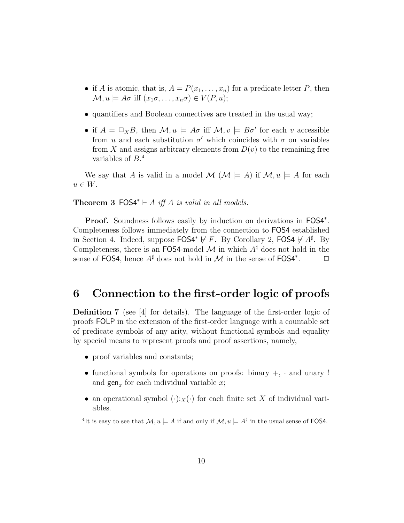- if A is atomic, that is,  $A = P(x_1, \ldots, x_n)$  for a predicate letter P, then  $\mathcal{M}, u \models A\sigma$  iff  $(x_1\sigma, \ldots, x_n\sigma) \in V(P, u);$
- quantifiers and Boolean connectives are treated in the usual way;
- if  $A = \Box_X B$ , then  $\mathcal{M}, u \models A\sigma$  iff  $\mathcal{M}, v \models B\sigma'$  for each v accessible from u and each substitution  $\sigma'$  which coincides with  $\sigma$  on variables from X and assigns arbitrary elements from  $D(v)$  to the remaining free variables of  $B^4$ .

We say that A is valid in a model  $\mathcal{M}$  ( $\mathcal{M} \models A$ ) if  $\mathcal{M}, u \models A$  for each  $u \in W$ .

#### **Theorem 3 FOS4**<sup>\*</sup>  $\vdash$  A iff A is valid in all models.

Proof. Soundness follows easily by induction on derivations in FOS4<sup>\*</sup>. Completeness follows immediately from the connection to FOS4 established in Section 4. Indeed, suppose  $FOS4^* \not\vdash F$ . By Corollary 2,  $FOS4 \not\vdash A^{\sharp}$ . By Completeness, there is an FOS4-model M in which  $A^{\sharp}$  does not hold in the sense of FOS4, hence  $A^{\sharp}$  does not hold in M in the sense of FOS4<sup>\*</sup>.  $\Box$ 

### 6 Connection to the first-order logic of proofs

Definition 7 (see [4] for details). The language of the first-order logic of proofs FOLP in the extension of the first-order language with a countable set of predicate symbols of any arity, without functional symbols and equality by special means to represent proofs and proof assertions, namely,

- proof variables and constants;
- functional symbols for operations on proofs: binary  $+$ ,  $\cdot$  and unary ! and  $\text{gen}_x$  for each individual variable x;
- an operational symbol  $(\cdot):_X(\cdot)$  for each finite set X of individual variables.

<sup>&</sup>lt;sup>4</sup>It is easy to see that  $\mathcal{M}, u \models A$  if and only if  $\mathcal{M}, u \models A^{\sharp}$  in the usual sense of FOS4.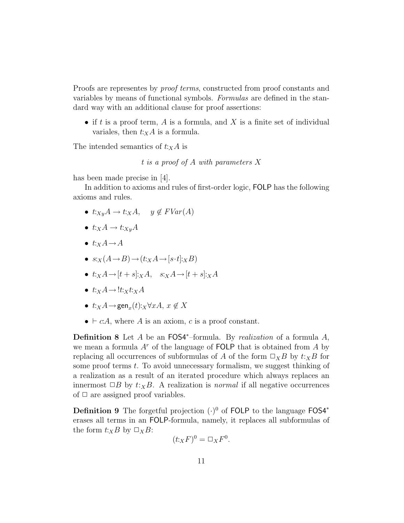Proofs are representes by *proof terms*, constructed from proof constants and variables by means of functional symbols. Formulas are defined in the standard way with an additional clause for proof assertions:

• if t is a proof term, A is a formula, and X is a finite set of individual variales, then  $t:_{X}A$  is a formula.

The intended semantics of  $t:_{X}A$  is

t is a proof of A with parameters X

has been made precise in [4].

In addition to axioms and rules of first-order logic, FOLP has the following axioms and rules.

- $t:_{Xy}A \rightarrow t:_{X}A$ ,  $y \notin FVar(A)$
- $t:_{X}A \rightarrow t:_{Xy}A$
- $t:_{X}A \rightarrow A$
- $s:_{X}(A\rightarrow B)\rightarrow(t:_{X}A\rightarrow[s\cdot t]:_{X}B)$
- $t:_{X}A \rightarrow [t + s]:_{X}A, \quad s:_{X}A \rightarrow [t + s]:_{X}A$
- $t:_{X}A \rightarrow !t:_{X}t:_{X}A$
- $t:_{X}A \rightarrow \text{gen}_{x}(t):_{X}\forall xA, x \notin X$
- $\bullet \vdash c:A$ , where A is an axiom, c is a proof constant.

**Definition 8** Let  $A$  be an FOS4<sup>\*</sup>-formula. By *realization* of a formula  $A$ , we mean a formula  $A<sup>r</sup>$  of the language of FOLP that is obtained from A by replacing all occurrences of subformulas of A of the form  $\Box_X B$  by  $t: X \to B$  for some proof terms t. To avoid unnecessary formalism, we suggest thinking of a realization as a result of an iterated procedure which always replaces an innermost  $\Box B$  by  $t:_{X}B$ . A realization is *normal* if all negative occurrences of  $\Box$  are assigned proof variables.

**Definition 9** The forgetful projection  $(·)^0$  of FOLP to the language FOS4<sup>\*</sup> erases all terms in an FOLP-formula, namely, it replaces all subformulas of the form  $t:_{X}B$  by  $\Box_{X}B$ :

$$
(t:_{X}F)^{0} = \Box_{X}F^{0}.
$$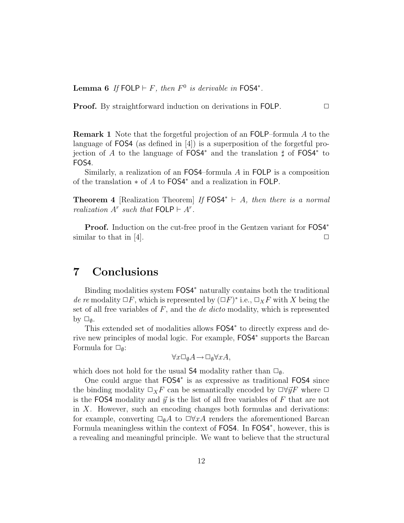Lemma 6 If FOLP  $\vdash F$ , then  $F^0$  is derivable in FOS4<sup>\*</sup>.

**Proof.** By straightforward induction on derivations in FOLP.  $\Box$ 

Remark 1 Note that the forgetful projection of an FOLP–formula A to the language of FOS4 (as defined in [4]) is a superposition of the forgetful projection of A to the language of  $FOS4^*$  and the translation  $\sharp$  of  $FOS4^*$  to FOS4.

Similarly, a realization of an  $FOS4$ –formula  $A$  in  $FOLP$  is a composition of the translation ∗ of A to FOS4<sup>∗</sup> and a realization in FOLP.

**Theorem 4** [Realization Theorem] If  $FOS4^* \vdash A$ , then there is a normal realization  $A^r$  such that  $\textsf{FOLP} \vdash A^r$ .

Proof. Induction on the cut-free proof in the Gentzen variant for FOS4<sup>∗</sup> similar to that in [4].  $\Box$ 

# 7 Conclusions

Binding modalities system  $FOS4*$  naturally contains both the traditional de re modality  $\Box F$ , which is represented by  $(\Box F)^*$  i.e.,  $\Box_X F$  with X being the set of all free variables of  $F$ , and the *de dicto* modality, which is represented by  $\square_{\emptyset}$ .

This extended set of modalities allows  $FOS4*$  to directly express and derive new principles of modal logic. For example, FOS4<sup>∗</sup> supports the Barcan Formula for  $\square_{\emptyset}$ :

$$
\forall x \Box_{\emptyset} A \rightarrow \Box_{\emptyset} \forall x A,
$$

which does not hold for the usual S4 modality rather than  $\square_{\emptyset}$ .

One could argue that FOS4<sup>∗</sup> is as expressive as traditional FOS4 since the binding modality  $\Box_X F$  can be semantically encoded by  $\Box \forall \vec{y} F$  where  $\Box$ is the FOS4 modality and  $\vec{y}$  is the list of all free variables of F that are not in X. However, such an encoding changes both formulas and derivations: for example, converting  $\Box_{\emptyset}A$  to  $\Box\forall xA$  renders the aforementioned Barcan Formula meaningless within the context of FOS4. In FOS4<sup>∗</sup> , however, this is a revealing and meaningful principle. We want to believe that the structural